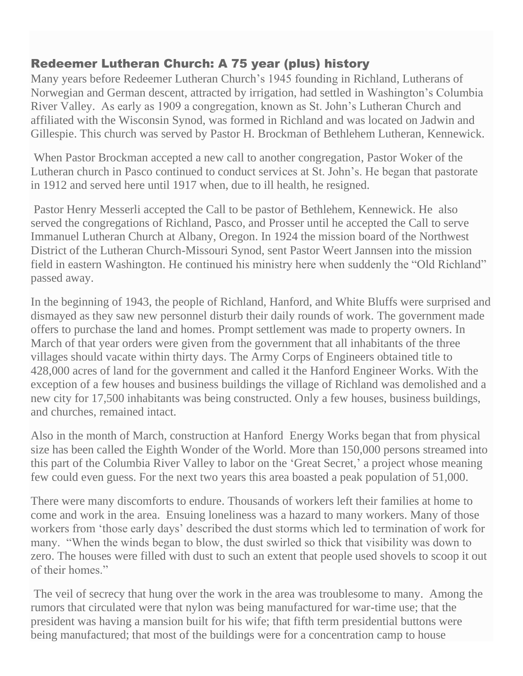## Redeemer Lutheran Church: A 75 year (plus) history

Many years before Redeemer Lutheran Church's 1945 founding in Richland, Lutherans of Norwegian and German descent, attracted by irrigation, had settled in Washington's Columbia River Valley. As early as 1909 a congregation, known as St. John's Lutheran Church and affiliated with the Wisconsin Synod, was formed in Richland and was located on Jadwin and Gillespie. This church was served by Pastor H. Brockman of Bethlehem Lutheran, Kennewick.

When Pastor Brockman accepted a new call to another congregation, Pastor Woker of the Lutheran church in Pasco continued to conduct services at St. John's. He began that pastorate in 1912 and served here until 1917 when, due to ill health, he resigned.

Pastor Henry Messerli accepted the Call to be pastor of Bethlehem, Kennewick. He also served the congregations of Richland, Pasco, and Prosser until he accepted the Call to serve Immanuel Lutheran Church at Albany, Oregon. In 1924 the mission board of the Northwest District of the Lutheran Church-Missouri Synod, sent Pastor Weert Jannsen into the mission field in eastern Washington. He continued his ministry here when suddenly the "Old Richland" passed away.

In the beginning of 1943, the people of Richland, Hanford, and White Bluffs were surprised and dismayed as they saw new personnel disturb their daily rounds of work. The government made offers to purchase the land and homes. Prompt settlement was made to property owners. In March of that year orders were given from the government that all inhabitants of the three villages should vacate within thirty days. The Army Corps of Engineers obtained title to 428,000 acres of land for the government and called it the Hanford Engineer Works. With the exception of a few houses and business buildings the village of Richland was demolished and a new city for 17,500 inhabitants was being constructed. Only a few houses, business buildings, and churches, remained intact.

Also in the month of March, construction at Hanford Energy Works began that from physical size has been called the Eighth Wonder of the World. More than 150,000 persons streamed into this part of the Columbia River Valley to labor on the 'Great Secret,' a project whose meaning few could even guess. For the next two years this area boasted a peak population of 51,000.

There were many discomforts to endure. Thousands of workers left their families at home to come and work in the area. Ensuing loneliness was a hazard to many workers. Many of those workers from 'those early days' described the dust storms which led to termination of work for many. "When the winds began to blow, the dust swirled so thick that visibility was down to zero. The houses were filled with dust to such an extent that people used shovels to scoop it out of their homes."

The veil of secrecy that hung over the work in the area was troublesome to many. Among the rumors that circulated were that nylon was being manufactured for war-time use; that the president was having a mansion built for his wife; that fifth term presidential buttons were being manufactured; that most of the buildings were for a concentration camp to house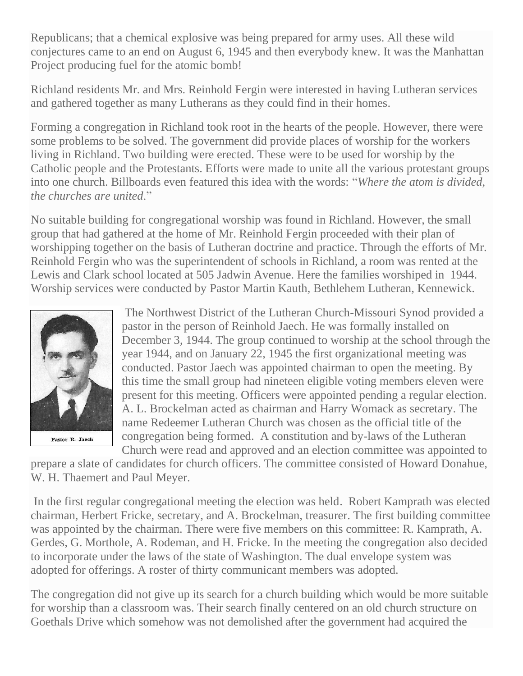Republicans; that a chemical explosive was being prepared for army uses. All these wild conjectures came to an end on August 6, 1945 and then everybody knew. It was the Manhattan Project producing fuel for the atomic bomb!

Richland residents Mr. and Mrs. Reinhold Fergin were interested in having Lutheran services and gathered together as many Lutherans as they could find in their homes.

Forming a congregation in Richland took root in the hearts of the people. However, there were some problems to be solved. The government did provide places of worship for the workers living in Richland. Two building were erected. These were to be used for worship by the Catholic people and the Protestants. Efforts were made to unite all the various protestant groups into one church. Billboards even featured this idea with the words: "*Where the atom is divided, the churches are united*."

No suitable building for congregational worship was found in Richland. However, the small group that had gathered at the home of Mr. Reinhold Fergin proceeded with their plan of worshipping together on the basis of Lutheran doctrine and practice. Through the efforts of Mr. Reinhold Fergin who was the superintendent of schools in Richland, a room was rented at the Lewis and Clark school located at 505 Jadwin Avenue. Here the families worshiped in 1944. Worship services were conducted by Pastor Martin Kauth, Bethlehem Lutheran, Kennewick.



The Northwest District of the Lutheran Church-Missouri Synod provided a pastor in the person of Reinhold Jaech. He was formally installed on December 3, 1944. The group continued to worship at the school through the year 1944, and on January 22, 1945 the first organizational meeting was conducted. Pastor Jaech was appointed chairman to open the meeting. By this time the small group had nineteen eligible voting members eleven were present for this meeting. Officers were appointed pending a regular election. A. L. Brockelman acted as chairman and Harry Womack as secretary. The name Redeemer Lutheran Church was chosen as the official title of the congregation being formed. A constitution and by-laws of the Lutheran Church were read and approved and an election committee was appointed to

prepare a slate of candidates for church officers. The committee consisted of Howard Donahue, W. H. Thaemert and Paul Meyer.

In the first regular congregational meeting the election was held. Robert Kamprath was elected chairman, Herbert Fricke, secretary, and A. Brockelman, treasurer. The first building committee was appointed by the chairman. There were five members on this committee: R. Kamprath, A. Gerdes, G. Morthole, A. Rodeman, and H. Fricke. In the meeting the congregation also decided to incorporate under the laws of the state of Washington. The dual envelope system was adopted for offerings. A roster of thirty communicant members was adopted.

The congregation did not give up its search for a church building which would be more suitable for worship than a classroom was. Their search finally centered on an old church structure on Goethals Drive which somehow was not demolished after the government had acquired the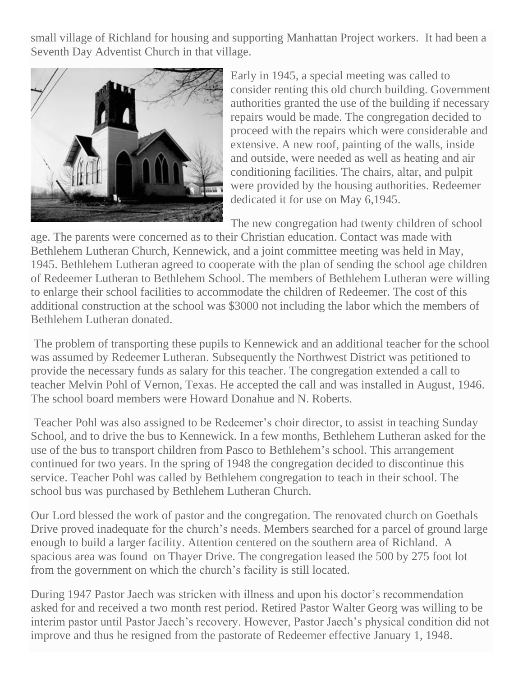small village of Richland for housing and supporting Manhattan Project workers. It had been a Seventh Day Adventist Church in that village.



Early in 1945, a special meeting was called to consider renting this old church building. Government authorities granted the use of the building if necessary repairs would be made. The congregation decided to proceed with the repairs which were considerable and extensive. A new roof, painting of the walls, inside and outside, were needed as well as heating and air conditioning facilities. The chairs, altar, and pulpit were provided by the housing authorities. Redeemer dedicated it for use on May 6,1945.

The new congregation had twenty children of school

age. The parents were concerned as to their Christian education. Contact was made with Bethlehem Lutheran Church, Kennewick, and a joint committee meeting was held in May, 1945. Bethlehem Lutheran agreed to cooperate with the plan of sending the school age children of Redeemer Lutheran to Bethlehem School. The members of Bethlehem Lutheran were willing to enlarge their school facilities to accommodate the children of Redeemer. The cost of this additional construction at the school was \$3000 not including the labor which the members of Bethlehem Lutheran donated.

The problem of transporting these pupils to Kennewick and an additional teacher for the school was assumed by Redeemer Lutheran. Subsequently the Northwest District was petitioned to provide the necessary funds as salary for this teacher. The congregation extended a call to teacher Melvin Pohl of Vernon, Texas. He accepted the call and was installed in August, 1946. The school board members were Howard Donahue and N. Roberts.

Teacher Pohl was also assigned to be Redeemer's choir director, to assist in teaching Sunday School, and to drive the bus to Kennewick. In a few months, Bethlehem Lutheran asked for the use of the bus to transport children from Pasco to Bethlehem's school. This arrangement continued for two years. In the spring of 1948 the congregation decided to discontinue this service. Teacher Pohl was called by Bethlehem congregation to teach in their school. The school bus was purchased by Bethlehem Lutheran Church.

Our Lord blessed the work of pastor and the congregation. The renovated church on Goethals Drive proved inadequate for the church's needs. Members searched for a parcel of ground large enough to build a larger facility. Attention centered on the southern area of Richland. A spacious area was found on Thayer Drive. The congregation leased the 500 by 275 foot lot from the government on which the church's facility is still located.

During 1947 Pastor Jaech was stricken with illness and upon his doctor's recommendation asked for and received a two month rest period. Retired Pastor Walter Georg was willing to be interim pastor until Pastor Jaech's recovery. However, Pastor Jaech's physical condition did not improve and thus he resigned from the pastorate of Redeemer effective January 1, 1948.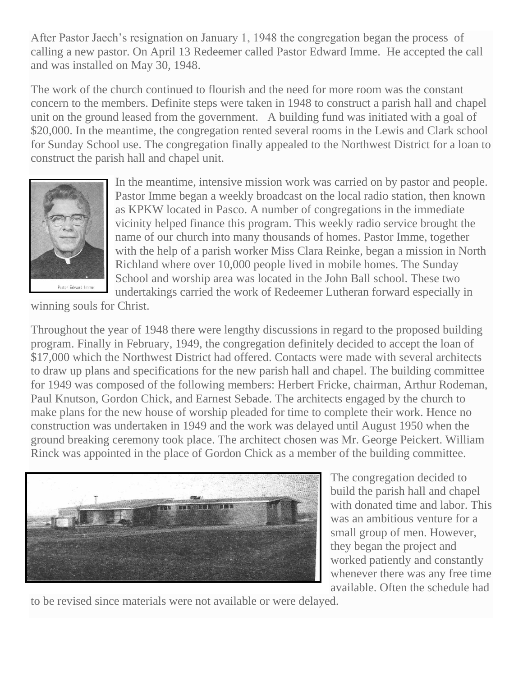After Pastor Jaech's resignation on January 1, 1948 the congregation began the process of calling a new pastor. On April 13 Redeemer called Pastor Edward Imme. He accepted the call and was installed on May 30, 1948.

The work of the church continued to flourish and the need for more room was the constant concern to the members. Definite steps were taken in 1948 to construct a parish hall and chapel unit on the ground leased from the government. A building fund was initiated with a goal of \$20,000. In the meantime, the congregation rented several rooms in the Lewis and Clark school for Sunday School use. The congregation finally appealed to the Northwest District for a loan to construct the parish hall and chapel unit.



In the meantime, intensive mission work was carried on by pastor and people. Pastor Imme began a weekly broadcast on the local radio station, then known as KPKW located in Pasco. A number of congregations in the immediate vicinity helped finance this program. This weekly radio service brought the name of our church into many thousands of homes. Pastor Imme, together with the help of a parish worker Miss Clara Reinke, began a mission in North Richland where over 10,000 people lived in mobile homes. The Sunday School and worship area was located in the John Ball school. These two undertakings carried the work of Redeemer Lutheran forward especially in

winning souls for Christ.

Throughout the year of 1948 there were lengthy discussions in regard to the proposed building program. Finally in February, 1949, the congregation definitely decided to accept the loan of \$17,000 which the Northwest District had offered. Contacts were made with several architects to draw up plans and specifications for the new parish hall and chapel. The building committee for 1949 was composed of the following members: Herbert Fricke, chairman, Arthur Rodeman, Paul Knutson, Gordon Chick, and Earnest Sebade. The architects engaged by the church to make plans for the new house of worship pleaded for time to complete their work. Hence no construction was undertaken in 1949 and the work was delayed until August 1950 when the ground breaking ceremony took place. The architect chosen was Mr. George Peickert. William Rinck was appointed in the place of Gordon Chick as a member of the building committee.



The congregation decided to build the parish hall and chapel with donated time and labor. This was an ambitious venture for a small group of men. However, they began the project and worked patiently and constantly whenever there was any free time available. Often the schedule had

to be revised since materials were not available or were delayed.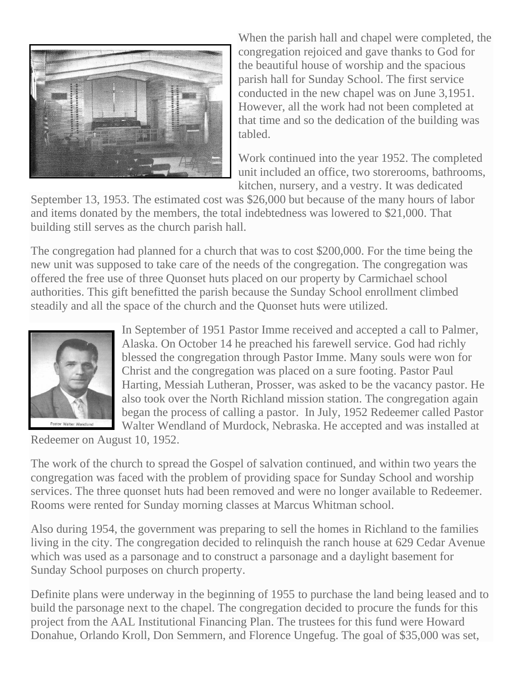

When the parish hall and chapel were completed, the congregation rejoiced and gave thanks to God for the beautiful house of worship and the spacious parish hall for Sunday School. The first service conducted in the new chapel was on June 3,1951. However, all the work had not been completed at that time and so the dedication of the building was tabled.

Work continued into the year 1952. The completed unit included an office, two storerooms, bathrooms, kitchen, nursery, and a vestry. It was dedicated

September 13, 1953. The estimated cost was \$26,000 but because of the many hours of labor and items donated by the members, the total indebtedness was lowered to \$21,000. That building still serves as the church parish hall.

The congregation had planned for a church that was to cost \$200,000. For the time being the new unit was supposed to take care of the needs of the congregation. The congregation was offered the free use of three Quonset huts placed on our property by Carmichael school authorities. This gift benefitted the parish because the Sunday School enrollment climbed steadily and all the space of the church and the Quonset huts were utilized.



In September of 1951 Pastor Imme received and accepted a call to Palmer, Alaska. On October 14 he preached his farewell service. God had richly blessed the congregation through Pastor Imme. Many souls were won for Christ and the congregation was placed on a sure footing. Pastor Paul Harting, Messiah Lutheran, Prosser, was asked to be the vacancy pastor. He also took over the North Richland mission station. The congregation again began the process of calling a pastor. In July, 1952 Redeemer called Pastor Walter Wendland of Murdock, Nebraska. He accepted and was installed at

Redeemer on August 10, 1952.

The work of the church to spread the Gospel of salvation continued, and within two years the congregation was faced with the problem of providing space for Sunday School and worship services. The three quonset huts had been removed and were no longer available to Redeemer. Rooms were rented for Sunday morning classes at Marcus Whitman school.

Also during 1954, the government was preparing to sell the homes in Richland to the families living in the city. The congregation decided to relinquish the ranch house at 629 Cedar Avenue which was used as a parsonage and to construct a parsonage and a daylight basement for Sunday School purposes on church property.

Definite plans were underway in the beginning of 1955 to purchase the land being leased and to build the parsonage next to the chapel. The congregation decided to procure the funds for this project from the AAL Institutional Financing Plan. The trustees for this fund were Howard Donahue, Orlando Kroll, Don Semmern, and Florence Ungefug. The goal of \$35,000 was set,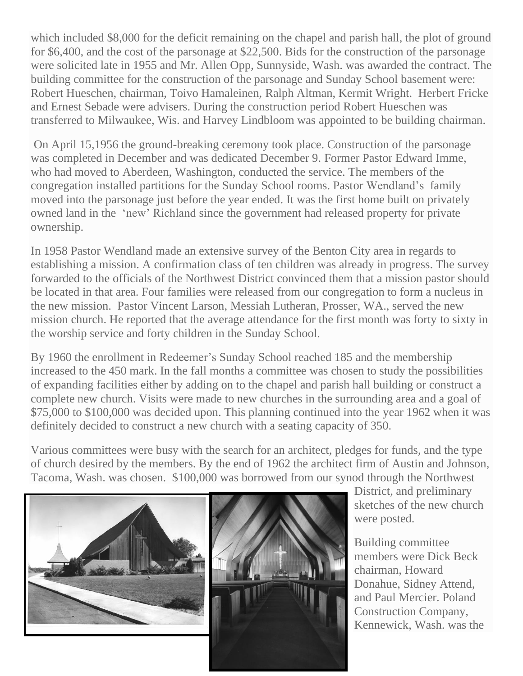which included \$8,000 for the deficit remaining on the chapel and parish hall, the plot of ground for \$6,400, and the cost of the parsonage at \$22,500. Bids for the construction of the parsonage were solicited late in 1955 and Mr. Allen Opp, Sunnyside, Wash. was awarded the contract. The building committee for the construction of the parsonage and Sunday School basement were: Robert Hueschen, chairman, Toivo Hamaleinen, Ralph Altman, Kermit Wright. Herbert Fricke and Ernest Sebade were advisers. During the construction period Robert Hueschen was transferred to Milwaukee, Wis. and Harvey Lindbloom was appointed to be building chairman.

On April 15,1956 the ground-breaking ceremony took place. Construction of the parsonage was completed in December and was dedicated December 9. Former Pastor Edward Imme, who had moved to Aberdeen, Washington, conducted the service. The members of the congregation installed partitions for the Sunday School rooms. Pastor Wendland's family moved into the parsonage just before the year ended. It was the first home built on privately owned land in the 'new' Richland since the government had released property for private ownership.

In 1958 Pastor Wendland made an extensive survey of the Benton City area in regards to establishing a mission. A confirmation class of ten children was already in progress. The survey forwarded to the officials of the Northwest District convinced them that a mission pastor should be located in that area. Four families were released from our congregation to form a nucleus in the new mission. Pastor Vincent Larson, Messiah Lutheran, Prosser, WA., served the new mission church. He reported that the average attendance for the first month was forty to sixty in the worship service and forty children in the Sunday School.

By 1960 the enrollment in Redeemer's Sunday School reached 185 and the membership increased to the 450 mark. In the fall months a committee was chosen to study the possibilities of expanding facilities either by adding on to the chapel and parish hall building or construct a complete new church. Visits were made to new churches in the surrounding area and a goal of \$75,000 to \$100,000 was decided upon. This planning continued into the year 1962 when it was definitely decided to construct a new church with a seating capacity of 350.

Various committees were busy with the search for an architect, pledges for funds, and the type of church desired by the members. By the end of 1962 the architect firm of Austin and Johnson, Tacoma, Wash. was chosen. \$100,000 was borrowed from our synod through the Northwest



District, and preliminary sketches of the new church were posted.

Building committee members were Dick Beck chairman, Howard Donahue, Sidney Attend, and Paul Mercier. Poland Construction Company, Kennewick, Wash. was the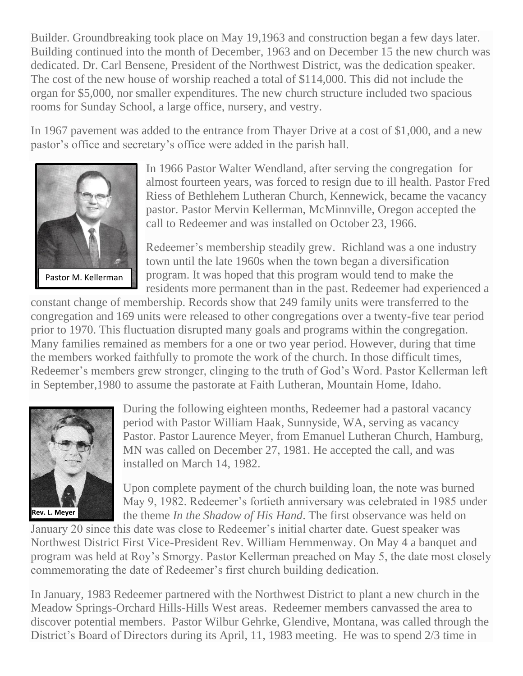Builder. Groundbreaking took place on May 19,1963 and construction began a few days later. Building continued into the month of December, 1963 and on December 15 the new church was dedicated. Dr. Carl Bensene, President of the Northwest District, was the dedication speaker. The cost of the new house of worship reached a total of \$114,000. This did not include the organ for \$5,000, nor smaller expenditures. The new church structure included two spacious rooms for Sunday School, a large office, nursery, and vestry.

In 1967 pavement was added to the entrance from Thayer Drive at a cost of \$1,000, and a new pastor's office and secretary's office were added in the parish hall.



In 1966 Pastor Walter Wendland, after serving the congregation for almost fourteen years, was forced to resign due to ill health. Pastor Fred Riess of Bethlehem Lutheran Church, Kennewick, became the vacancy pastor. Pastor Mervin Kellerman, McMinnville, Oregon accepted the call to Redeemer and was installed on October 23, 1966.

Redeemer's membership steadily grew. Richland was a one industry town until the late 1960s when the town began a diversification program. It was hoped that this program would tend to make the residents more permanent than in the past. Redeemer had experienced a

constant change of membership. Records show that 249 family units were transferred to the congregation and 169 units were released to other congregations over a twenty-five tear period prior to 1970. This fluctuation disrupted many goals and programs within the congregation. Many families remained as members for a one or two year period. However, during that time the members worked faithfully to promote the work of the church. In those difficult times, Redeemer's members grew stronger, clinging to the truth of God's Word. Pastor Kellerman left in September,1980 to assume the pastorate at Faith Lutheran, Mountain Home, Idaho.



During the following eighteen months, Redeemer had a pastoral vacancy period with Pastor William Haak, Sunnyside, WA, serving as vacancy Pastor. Pastor Laurence Meyer, from Emanuel Lutheran Church, Hamburg, MN was called on December 27, 1981. He accepted the call, and was installed on March 14, 1982.

Upon complete payment of the church building loan, the note was burned May 9, 1982. Redeemer's fortieth anniversary was celebrated in 1985 under the theme *In the Shadow of His Hand*. The first observance was held on

January 20 since this date was close to Redeemer's initial charter date. Guest speaker was Northwest District First Vice-President Rev. William Hernmenway. On May 4 a banquet and program was held at Roy's Smorgy. Pastor Kellerman preached on May 5, the date most closely commemorating the date of Redeemer's first church building dedication.

In January, 1983 Redeemer partnered with the Northwest District to plant a new church in the Meadow Springs-Orchard Hills-Hills West areas. Redeemer members canvassed the area to discover potential members. Pastor Wilbur Gehrke, Glendive, Montana, was called through the District's Board of Directors during its April, 11, 1983 meeting. He was to spend 2/3 time in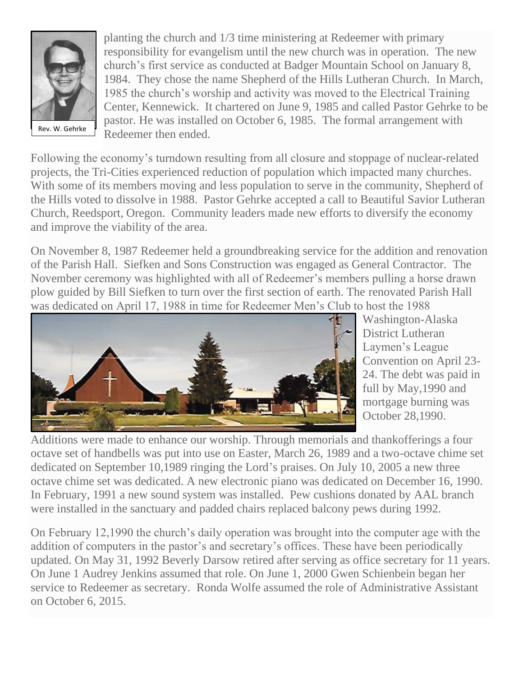

planting the church and 1/3 time ministering at Redeemer with primary responsibility for evangelism until the new church was in operation. The new church's first service as conducted at Badger Mountain School on January 8, 1984. They chose the name Shepherd of the Hills Lutheran Church. In March, 1985 the church's worship and activity was moved to the Electrical Training Center, Kennewick. It chartered on June 9, 1985 and called Pastor Gehrke to be pastor. He was installed on October 6, 1985. The formal arrangement with Redeemer then ended.

Following the economy's turndown resulting from all closure and stoppage of nuclear-related projects, the Tri-Cities experienced reduction of population which impacted many churches. With some of its members moving and less population to serve in the community, Shepherd of the Hills voted to dissolve in 1988. Pastor Gehrke accepted a call to Beautiful Savior Lutheran Church, Reedsport, Oregon. Community leaders made new efforts to diversify the economy and improve the viability of the area.

On November 8, 1987 Redeemer held a groundbreaking service for the addition and renovation of the Parish Hall. Siefken and Sons Construction was engaged as General Contractor. The November ceremony was highlighted with all of Redeemer's members pulling a horse drawn plow guided by Bill Siefken to turn over the first section of earth. The renovated Parish Hall was dedicated on April 17, 1988 in time for Redeemer Men's Club to host the 1988



Washington-Alaska District Lutheran Laymen's League Convention on April 23- 24. The debt was paid in full by May,1990 and mortgage burning was October 28,1990.

Additions were made to enhance our worship. Through memorials and thankofferings a four octave set of handbells was put into use on Easter, March 26, 1989 and a two-octave chime set dedicated on September 10,1989 ringing the Lord's praises. On July 10, 2005 a new three octave chime set was dedicated. A new electronic piano was dedicated on December 16, 1990. In February, 1991 a new sound system was installed. Pew cushions donated by AAL branch were installed in the sanctuary and padded chairs replaced balcony pews during 1992.

On February 12,1990 the church's daily operation was brought into the computer age with the addition of computers in the pastor's and secretary's offices. These have been periodically updated. On May 31, 1992 Beverly Darsow retired after serving as office secretary for 11 years. On June 1 Audrey Jenkins assumed that role. On June 1, 2000 Gwen Schienbein began her service to Redeemer as secretary. Ronda Wolfe assumed the role of Administrative Assistant on October 6, 2015.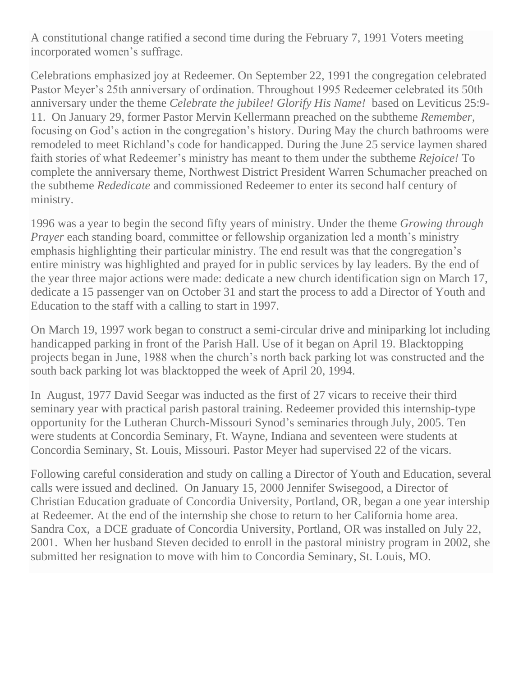A constitutional change ratified a second time during the February 7, 1991 Voters meeting incorporated women's suffrage.

Celebrations emphasized joy at Redeemer. On September 22, 1991 the congregation celebrated Pastor Meyer's 25th anniversary of ordination. Throughout 1995 Redeemer celebrated its 50th anniversary under the theme *Celebrate the jubilee! Glorify His Name!* based on Leviticus 25:9- 11. On January 29, former Pastor Mervin Kellermann preached on the subtheme *Remember*, focusing on God's action in the congregation's history. During May the church bathrooms were remodeled to meet Richland's code for handicapped. During the June 25 service laymen shared faith stories of what Redeemer's ministry has meant to them under the subtheme *Rejoice!* To complete the anniversary theme, Northwest District President Warren Schumacher preached on the subtheme *Rededicate* and commissioned Redeemer to enter its second half century of ministry.

1996 was a year to begin the second fifty years of ministry. Under the theme *Growing through Prayer* each standing board, committee or fellowship organization led a month's ministry emphasis highlighting their particular ministry. The end result was that the congregation's entire ministry was highlighted and prayed for in public services by lay leaders. By the end of the year three major actions were made: dedicate a new church identification sign on March 17, dedicate a 15 passenger van on October 31 and start the process to add a Director of Youth and Education to the staff with a calling to start in 1997.

On March 19, 1997 work began to construct a semi-circular drive and miniparking lot including handicapped parking in front of the Parish Hall. Use of it began on April 19. Blacktopping projects began in June, 1988 when the church's north back parking lot was constructed and the south back parking lot was blacktopped the week of April 20, 1994.

In August, 1977 David Seegar was inducted as the first of 27 vicars to receive their third seminary year with practical parish pastoral training. Redeemer provided this internship-type opportunity for the Lutheran Church-Missouri Synod's seminaries through July, 2005. Ten were students at Concordia Seminary, Ft. Wayne, Indiana and seventeen were students at Concordia Seminary, St. Louis, Missouri. Pastor Meyer had supervised 22 of the vicars.

Following careful consideration and study on calling a Director of Youth and Education, several calls were issued and declined. On January 15, 2000 Jennifer Swisegood, a Director of Christian Education graduate of Concordia University, Portland, OR, began a one year intership at Redeemer. At the end of the internship she chose to return to her California home area. Sandra Cox, a DCE graduate of Concordia University, Portland, OR was installed on July 22, 2001. When her husband Steven decided to enroll in the pastoral ministry program in 2002, she submitted her resignation to move with him to Concordia Seminary, St. Louis, MO.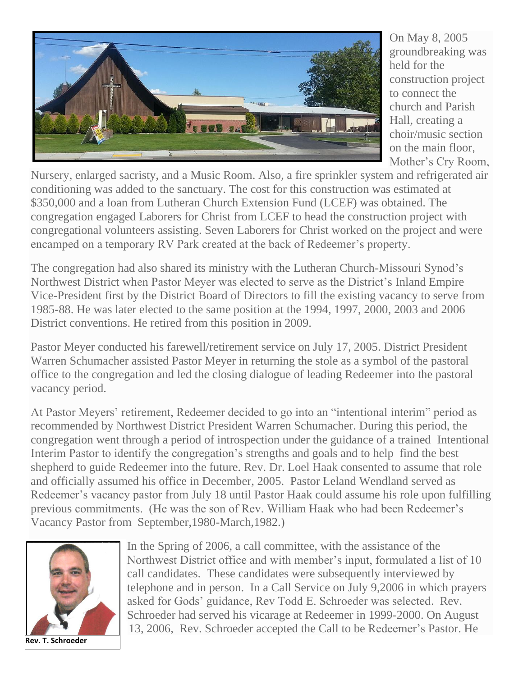

On May 8, 2005 groundbreaking was held for the construction project to connect the church and Parish Hall, creating a choir/music section on the main floor, Mother's Cry Room,

Nursery, enlarged sacristy, and a Music Room. Also, a fire sprinkler system and refrigerated air conditioning was added to the sanctuary. The cost for this construction was estimated at \$350,000 and a loan from Lutheran Church Extension Fund (LCEF) was obtained. The congregation engaged Laborers for Christ from LCEF to head the construction project with congregational volunteers assisting. Seven Laborers for Christ worked on the project and were encamped on a temporary RV Park created at the back of Redeemer's property.

The congregation had also shared its ministry with the Lutheran Church-Missouri Synod's Northwest District when Pastor Meyer was elected to serve as the District's Inland Empire Vice-President first by the District Board of Directors to fill the existing vacancy to serve from 1985-88. He was later elected to the same position at the 1994, 1997, 2000, 2003 and 2006 District conventions. He retired from this position in 2009.

Pastor Meyer conducted his farewell/retirement service on July 17, 2005. District President Warren Schumacher assisted Pastor Meyer in returning the stole as a symbol of the pastoral office to the congregation and led the closing dialogue of leading Redeemer into the pastoral vacancy period.

At Pastor Meyers' retirement, Redeemer decided to go into an "intentional interim" period as recommended by Northwest District President Warren Schumacher. During this period, the congregation went through a period of introspection under the guidance of a trained Intentional Interim Pastor to identify the congregation's strengths and goals and to help find the best shepherd to guide Redeemer into the future. Rev. Dr. Loel Haak consented to assume that role and officially assumed his office in December, 2005. Pastor Leland Wendland served as Redeemer's vacancy pastor from July 18 until Pastor Haak could assume his role upon fulfilling previous commitments. (He was the son of Rev. William Haak who had been Redeemer's Vacancy Pastor from September,1980-March,1982.)



**Rev. T. Schroeder**

In the Spring of 2006, a call committee, with the assistance of the Northwest District office and with member's input, formulated a list of 10 call candidates. These candidates were subsequently interviewed by telephone and in person. In a Call Service on July 9,2006 in which prayers asked for Gods' guidance, Rev Todd E. Schroeder was selected. Rev. Schroeder had served his vicarage at Redeemer in 1999-2000. On August 13, 2006, Rev. Schroeder accepted the Call to be Redeemer's Pastor. He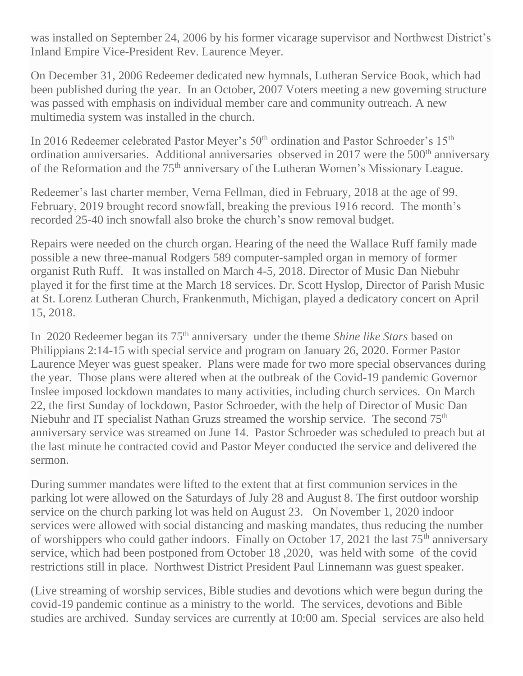was installed on September 24, 2006 by his former vicarage supervisor and Northwest District's Inland Empire Vice-President Rev. Laurence Meyer.

On December 31, 2006 Redeemer dedicated new hymnals, Lutheran Service Book, which had been published during the year. In an October, 2007 Voters meeting a new governing structure was passed with emphasis on individual member care and community outreach. A new multimedia system was installed in the church.

In 2016 Redeemer celebrated Pastor Meyer's  $50<sup>th</sup>$  ordination and Pastor Schroeder's  $15<sup>th</sup>$ ordination anniversaries. Additional anniversaries observed in 2017 were the 500<sup>th</sup> anniversary of the Reformation and the 75<sup>th</sup> anniversary of the Lutheran Women's Missionary League.

Redeemer's last charter member, Verna Fellman, died in February, 2018 at the age of 99. February, 2019 brought record snowfall, breaking the previous 1916 record. The month's recorded 25-40 inch snowfall also broke the church's snow removal budget.

Repairs were needed on the church organ. Hearing of the need the Wallace Ruff family made possible a new three-manual Rodgers 589 computer-sampled organ in memory of former organist Ruth Ruff. It was installed on March 4-5, 2018. Director of Music Dan Niebuhr played it for the first time at the March 18 services. Dr. Scott Hyslop, Director of Parish Music at St. Lorenz Lutheran Church, Frankenmuth, Michigan, played a dedicatory concert on April 15, 2018.

In 2020 Redeemer began its 75<sup>th</sup> anniversary under the theme *Shine like Stars* based on Philippians 2:14-15 with special service and program on January 26, 2020. Former Pastor Laurence Meyer was guest speaker. Plans were made for two more special observances during the year. Those plans were altered when at the outbreak of the Covid-19 pandemic Governor Inslee imposed lockdown mandates to many activities, including church services. On March 22, the first Sunday of lockdown, Pastor Schroeder, with the help of Director of Music Dan Niebuhr and IT specialist Nathan Gruzs streamed the worship service. The second 75<sup>th</sup> anniversary service was streamed on June 14. Pastor Schroeder was scheduled to preach but at the last minute he contracted covid and Pastor Meyer conducted the service and delivered the sermon.

During summer mandates were lifted to the extent that at first communion services in the parking lot were allowed on the Saturdays of July 28 and August 8. The first outdoor worship service on the church parking lot was held on August 23. On November 1, 2020 indoor services were allowed with social distancing and masking mandates, thus reducing the number of worshippers who could gather indoors. Finally on October 17, 2021 the last  $75<sup>th</sup>$  anniversary service, which had been postponed from October 18 ,2020, was held with some of the covid restrictions still in place. Northwest District President Paul Linnemann was guest speaker.

(Live streaming of worship services, Bible studies and devotions which were begun during the covid-19 pandemic continue as a ministry to the world. The services, devotions and Bible studies are archived. Sunday services are currently at 10:00 am. Special services are also held